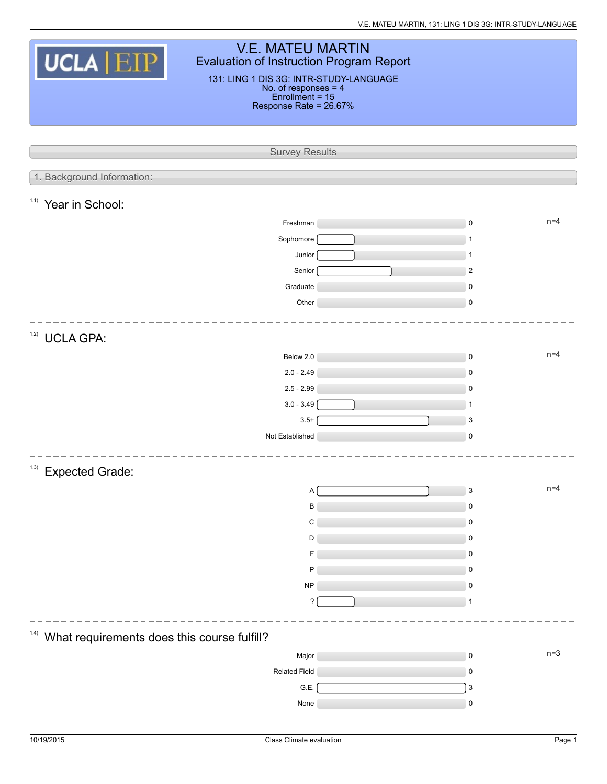| <b>V.E. MATEU MARTIN</b><br><b>UCLA EIP</b><br>Evaluation of Instruction Program Report<br>131: LING 1 DIS 3G: INTR-STUDY-LANGUAGE<br>No. of responses = 4<br>Enrollment = 15<br>Response Rate = 26.67% |           |                                    |  |  |  |  |  |  |
|---------------------------------------------------------------------------------------------------------------------------------------------------------------------------------------------------------|-----------|------------------------------------|--|--|--|--|--|--|
|                                                                                                                                                                                                         |           |                                    |  |  |  |  |  |  |
|                                                                                                                                                                                                         |           |                                    |  |  |  |  |  |  |
| <b>Survey Results</b>                                                                                                                                                                                   |           |                                    |  |  |  |  |  |  |
|                                                                                                                                                                                                         |           |                                    |  |  |  |  |  |  |
| 1. Background Information:                                                                                                                                                                              |           |                                    |  |  |  |  |  |  |
| 1.1)<br>Year in School:                                                                                                                                                                                 |           |                                    |  |  |  |  |  |  |
| Freshman                                                                                                                                                                                                |           | $n=4$<br>$\mathsf 0$               |  |  |  |  |  |  |
| Sophomore                                                                                                                                                                                               |           | -1                                 |  |  |  |  |  |  |
| Junior                                                                                                                                                                                                  |           | $\mathbf{1}$                       |  |  |  |  |  |  |
| Senior                                                                                                                                                                                                  |           | $\overline{2}$                     |  |  |  |  |  |  |
| Graduate                                                                                                                                                                                                |           | $\pmb{0}$                          |  |  |  |  |  |  |
| Other                                                                                                                                                                                                   |           | $\mathsf 0$                        |  |  |  |  |  |  |
|                                                                                                                                                                                                         |           |                                    |  |  |  |  |  |  |
| 1.2)<br><b>UCLA GPA:</b>                                                                                                                                                                                |           |                                    |  |  |  |  |  |  |
| Below 2.0                                                                                                                                                                                               |           | $n=4$<br>$\mathsf 0$               |  |  |  |  |  |  |
| $2.0 - 2.49$                                                                                                                                                                                            |           | $\mathsf 0$                        |  |  |  |  |  |  |
| $2.5 - 2.99$                                                                                                                                                                                            |           | $\mathbf 0$                        |  |  |  |  |  |  |
| $3.0 - 3.49$                                                                                                                                                                                            |           | $\mathbf{1}$                       |  |  |  |  |  |  |
|                                                                                                                                                                                                         | $3.5+$    | $\mathbf{3}$                       |  |  |  |  |  |  |
| Not Established                                                                                                                                                                                         |           | $\mathsf 0$                        |  |  |  |  |  |  |
|                                                                                                                                                                                                         |           |                                    |  |  |  |  |  |  |
| (1.3)<br><b>Expected Grade:</b>                                                                                                                                                                         |           |                                    |  |  |  |  |  |  |
|                                                                                                                                                                                                         | A         | $n=4$<br>$\ensuremath{\mathsf{3}}$ |  |  |  |  |  |  |
|                                                                                                                                                                                                         | B         | $\pmb{0}$                          |  |  |  |  |  |  |
|                                                                                                                                                                                                         | C         | 0                                  |  |  |  |  |  |  |
|                                                                                                                                                                                                         | D         | $\mathbf 0$                        |  |  |  |  |  |  |
|                                                                                                                                                                                                         | F         | 0                                  |  |  |  |  |  |  |
|                                                                                                                                                                                                         | P         | $\mathbf 0$                        |  |  |  |  |  |  |
|                                                                                                                                                                                                         | <b>NP</b> | 0                                  |  |  |  |  |  |  |
|                                                                                                                                                                                                         | ?         | 1                                  |  |  |  |  |  |  |
| 1.4)                                                                                                                                                                                                    |           |                                    |  |  |  |  |  |  |
| What requirements does this course fulfill?                                                                                                                                                             |           |                                    |  |  |  |  |  |  |
| Major                                                                                                                                                                                                   |           | $n=3$<br>$\mathsf 0$               |  |  |  |  |  |  |
| <b>Related Field</b>                                                                                                                                                                                    |           | $\pmb{0}$                          |  |  |  |  |  |  |
| G.E.                                                                                                                                                                                                    |           | $\mathsf 3$                        |  |  |  |  |  |  |
| None                                                                                                                                                                                                    |           | 0                                  |  |  |  |  |  |  |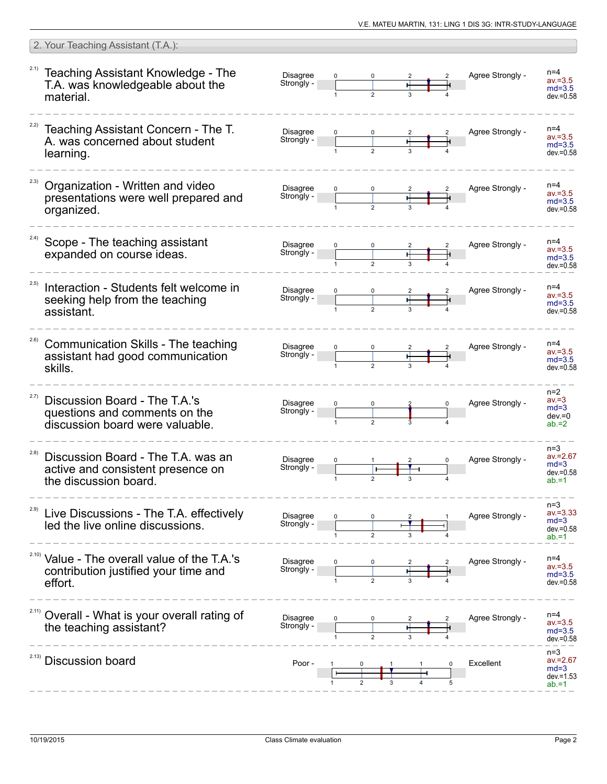|       | 2. Your Teaching Assistant (T.A.):                                                                          |                               |                |   |                  |                                                            |
|-------|-------------------------------------------------------------------------------------------------------------|-------------------------------|----------------|---|------------------|------------------------------------------------------------|
| 2.1)  | Teaching Assistant Knowledge - The<br>T.A. was knowledgeable about the<br>material.                         | <b>Disagree</b><br>Strongly - |                |   | Agree Strongly - | $n=4$<br>$av = 3.5$<br>$md=3.5$<br>$dev = 0.58$            |
|       | Teaching Assistant Concern - The T.<br>A. was concerned about student<br>learning.                          | <b>Disagree</b><br>Strongly - | $\mathfrak{p}$ |   | Agree Strongly - | $n=4$<br>$av = 3.5$<br>$md=3.5$<br>$dev = 0.58$            |
| 2.3)  | Organization - Written and video<br>presentations were well prepared and<br>organized.                      | <b>Disagree</b><br>Strongly - |                |   | Agree Strongly - | $n=4$<br>$av = 3.5$<br>$md=3.5$<br>$dev = 0.58$            |
| 2.4)  | Scope - The teaching assistant<br>expanded on course ideas.                                                 | Disagree<br>Strongly -        |                | ਜ | Agree Strongly - | $n=4$<br>$av = 3.5$<br>$md=3.5$<br>$dev = 0.58$            |
| 2.5)  | Interaction - Students felt welcome in<br>seeking help from the teaching<br>assistant.                      | <b>Disagree</b><br>Strongly - |                |   | Agree Strongly - | $n=4$<br>$av = 3.5$<br>$md=3.5$<br>$dev = 0.58$            |
| 2.6)  | Communication Skills - The teaching<br>assistant had good communication<br>skills.                          | <b>Disagree</b><br>Strongly - | $\overline{2}$ |   | Agree Strongly - | $n=4$<br>$av = 3.5$<br>$md=3.5$<br>$dev = 0.58$            |
| 2.7)  | Discussion Board - The T.A.'s<br>questions and comments on the<br>discussion board were valuable.           | <b>Disagree</b><br>Strongly - | $\mathfrak{p}$ |   | Agree Strongly - | $n=2$<br>$av = 3$<br>$md=3$<br>$dev = 0$<br>$ab = 2$       |
| (2.8) | Discussion Board - The T.A. was an<br>active and consistent presence on<br>the discussion board.            | <b>Disagree</b><br>Strongly - |                |   | Agree Strongly - | $n=3$<br>$av = 2.67$<br>$md=3$<br>$dev = 0.58$<br>$ab = 1$ |
| 2.9)  | Live Discussions - The T.A. effectively<br>led the live online discussions.                                 | Disagree<br>Strongly -        |                |   | Agree Strongly - | $n=3$<br>$av = 3.33$<br>$md=3$<br>$dev = 0.58$<br>$ab = 1$ |
|       | <sup>2.10)</sup> Value - The overall value of the T.A.'s<br>contribution justified your time and<br>effort. | <b>Disagree</b><br>Strongly - |                |   | Agree Strongly - | $n=4$<br>$av = 3.5$<br>$md=3.5$<br>$dev = 0.58$            |
| 2.11) | Overall - What is your overall rating of<br>the teaching assistant?                                         | <b>Disagree</b><br>Strongly - |                |   | Agree Strongly - | $n=4$<br>$av = 3.5$<br>$md=3.5$<br>$dev = 0.58$            |
| 2.13) | <b>Discussion board</b>                                                                                     | Poor -                        |                |   | Excellent        | $n=3$<br>$av = 2.67$<br>$md=3$<br>$dev = 1.53$<br>$ab = 1$ |

 $\sqrt{2}$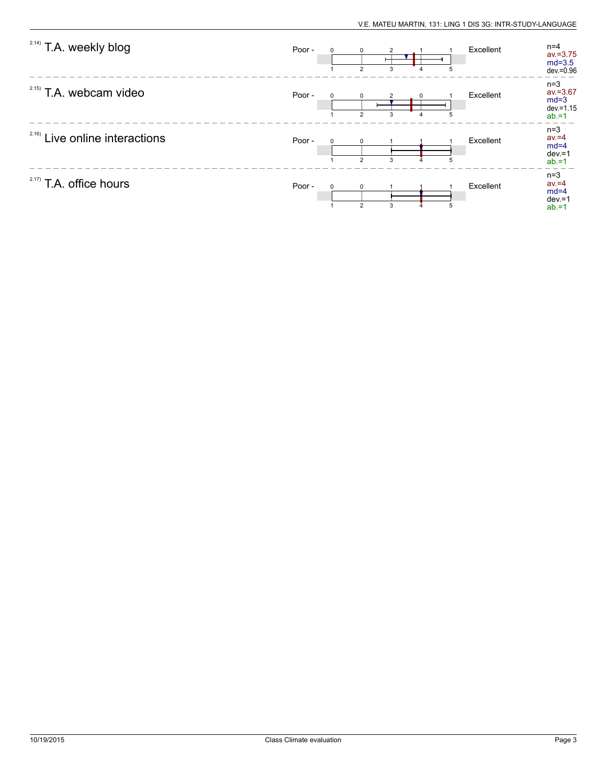| <sup>2.14)</sup> T.A. weekly blog | Poor - | $\Omega$ | $\Omega$<br>$\mathcal{P}$     | 3 |   | Excellent | $n=4$<br>$av = 3.75$<br>$md=3.5$<br>$dev = 0.96$           |
|-----------------------------------|--------|----------|-------------------------------|---|---|-----------|------------------------------------------------------------|
| $2.15)$ T.A. webcam video         | Poor - | $\Omega$ | $\Omega$<br>$\overline{2}$    | 3 | 5 | Excellent | $n=3$<br>$av = 3.67$<br>$md=3$<br>$dev = 1.15$<br>$ab = 1$ |
| 2.16)<br>Live online interactions | Poor - | $\Omega$ | $\Omega$<br>$\overline{2}$    | 3 | 5 | Excellent | $n=3$<br>$av = 4$<br>$md=4$<br>$dev = 1$<br>$ab = 1$       |
| $2.17$ ) T.A. office hours        | Poor - | $\Omega$ | $\mathbf 0$<br>$\overline{2}$ | 3 | 5 | Excellent | $n=3$<br>$av = 4$<br>$md=4$<br>$dev = 1$<br>$ab = 1$       |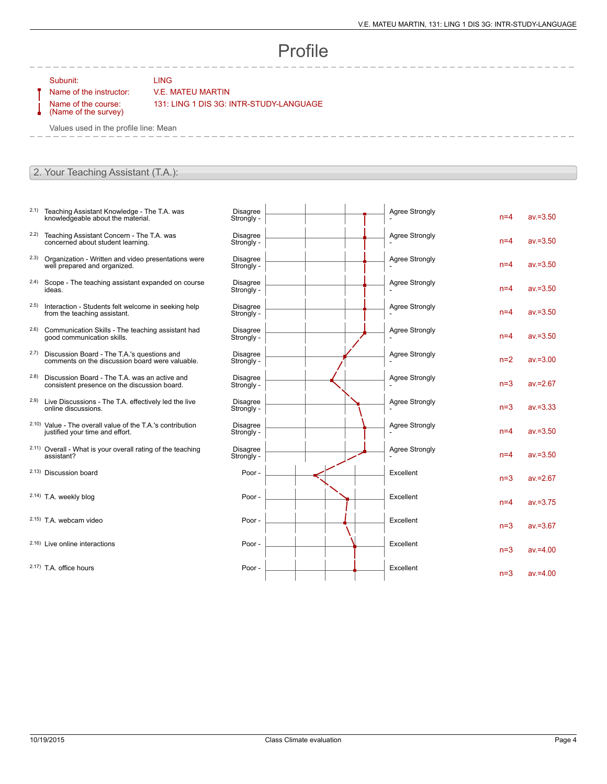## Profile

Subunit: LING

## Name of the instructor: V.E. MATEU MARTIN

Name of the course: (Name of the survey) 131: LING 1 DIS 3G: INTR-STUDY-LANGUAGE

Values used in the profile line: Mean

## 2. Your Teaching Assistant (T.A.):

- 2.1) Teaching Assistant Knowledge The T.A. was knowledgeable about the material.
- 2.2) Teaching Assistant Concern The T.A. was concerned about student learning.
- 2.3) Organization Written and video presentations were well prepared and organized.
- 2.4) Scope The teaching assistant expanded on course ideas.
- 2.5) Interaction Students felt welcome in seeking help from the teaching assistant.
- 2.6) Communication Skills The teaching assistant had good communication skills.
- 2.7) Discussion Board The T.A.'s questions and comments on the discussion board were valuable.
- 2.8) Discussion Board The T.A. was an active and consistent presence on the discussion board.
- 2.9) Live Discussions The T.A. effectively led the live online discussions.
- 2.10) Value The overall value of the T.A.'s contribution justified your time and effort.
- 2.11) Overall What is your overall rating of the teaching assistant?
- 2.13) Discussion board
- 2.14) T.A. weekly blog
- $2.15$ ) T.A. webcam video
- $2.16$ ) Live online interactions
- $2.17$ ) T.A. office hours

| <b>Disagree</b><br>Strongly - | <b>Agree Strongly</b> | $n=4$ | $av = 3.50$ |
|-------------------------------|-----------------------|-------|-------------|
| <b>Disagree</b><br>Strongly - | <b>Agree Strongly</b> | $n=4$ | $av = 3.50$ |
| <b>Disagree</b><br>Strongly - | Agree Strongly        | $n=4$ | $av = 3.50$ |
| <b>Disagree</b><br>Strongly - | <b>Agree Strongly</b> | $n=4$ | $av = 3.50$ |
| <b>Disagree</b><br>Strongly - | <b>Agree Strongly</b> | $n=4$ | $av = 3.50$ |
| <b>Disagree</b><br>Strongly - | <b>Agree Strongly</b> | $n=4$ | $av = 3.50$ |
| <b>Disagree</b><br>Strongly - | <b>Agree Strongly</b> | $n=2$ | $av = 3.00$ |
| <b>Disagree</b><br>Strongly - | <b>Agree Strongly</b> | $n=3$ | $av = 2.67$ |
| <b>Disagree</b><br>Strongly - | <b>Agree Strongly</b> | $n=3$ | $av = 3.33$ |
| <b>Disagree</b><br>Strongly - | <b>Agree Strongly</b> | $n=4$ | $av = 3.50$ |
| <b>Disagree</b><br>Strongly - | <b>Agree Strongly</b> | $n=4$ | $av = 3.50$ |
| Poor -                        | Excellent             | $n=3$ | $av = 2.67$ |
| Poor -                        | Excellent             | $n=4$ | $av = 3.75$ |
| Poor -                        | Excellent             | $n=3$ | $av = 3.67$ |
| Poor -                        | Excellent             | $n=3$ | $av = 4.00$ |
| Poor -                        | Excellent             | $n=3$ | $av = 4.00$ |